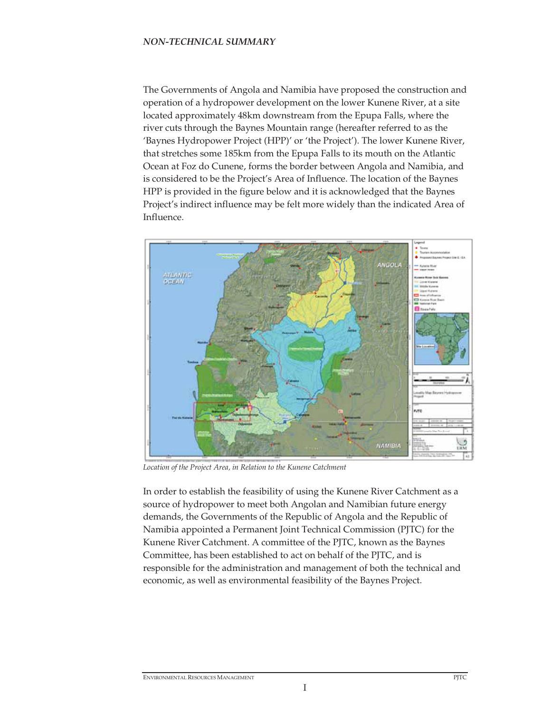The Governments of Angola and Namibia have proposed the construction and operation of a hydropower development on the lower Kunene River, at a site located approximately 48km downstream from the Epupa Falls, where the river cuts through the Baynes Mountain range (hereafter referred to as the 'Baynes Hydropower Project (HPP)' or 'the Project'). The lower Kunene River, that stretches some 185km from the Epupa Falls to its mouth on the Atlantic Ocean at Foz do Cunene, forms the border between Angola and Namibia, and is considered to be the Project's Area of Influence. The location of the Baynes HPP is provided in the figure below and it is acknowledged that the Baynes Project's indirect influence may be felt more widely than the indicated Area of Influence.



Location of the Project Area, in Relation to the Kunene Catchment

In order to establish the feasibility of using the Kunene River Catchment as a source of hydropower to meet both Angolan and Namibian future energy demands, the Governments of the Republic of Angola and the Republic of Namibia appointed a Permanent Joint Technical Commission (PJTC) for the Kunene River Catchment. A committee of the PJTC, known as the Baynes Committee, has been established to act on behalf of the PJTC, and is responsible for the administration and management of both the technical and economic, as well as environmental feasibility of the Baynes Project.

I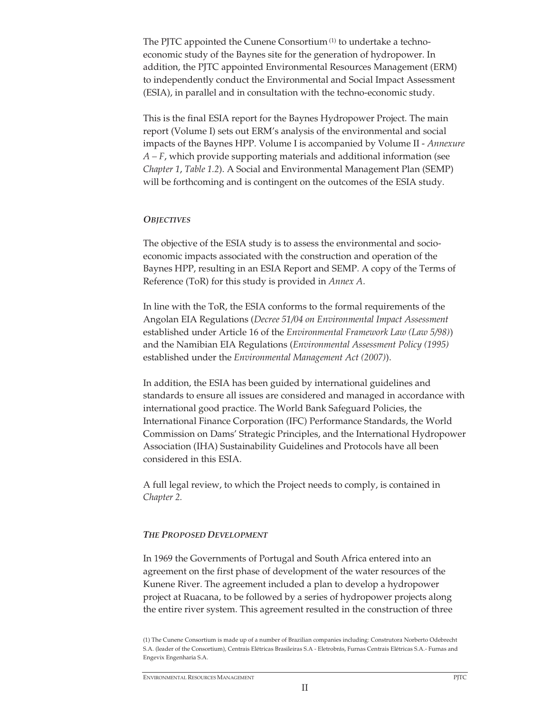The PJTC appointed the Cunene Consortium (1) to undertake a technoeconomic study of the Baynes site for the generation of hydropower. In addition, the PJTC appointed Environmental Resources Management (ERM) to independently conduct the Environmental and Social Impact Assessment (ESIA), in parallel and in consultation with the techno-economic study.

This is the final ESIA report for the Baynes Hydropower Project. The main report (Volume I) sets out ERM's analysis of the environmental and social impacts of the Baynes HPP. Volume I is accompanied by Volume II - *Annexure A – F*, which provide supporting materials and additional information (see *Chapter 1*, *Table 1.2*). A Social and Environmental Management Plan (SEMP) will be forthcoming and is contingent on the outcomes of the ESIA study.

#### *OBJECTIVES*

The objective of the ESIA study is to assess the environmental and socioeconomic impacts associated with the construction and operation of the Baynes HPP, resulting in an ESIA Report and SEMP. A copy of the Terms of Reference (ToR) for this study is provided in *Annex A*.

In line with the ToR, the ESIA conforms to the formal requirements of the Angolan EIA Regulations (*Decree 51/04 on Environmental Impact Assessment*  established under Article 16 of the *Environmental Framework Law (Law 5/98)*) and the Namibian EIA Regulations (*Environmental Assessment Policy (1995)* established under the *Environmental Management Act (2007)*).

In addition, the ESIA has been guided by international guidelines and standards to ensure all issues are considered and managed in accordance with international good practice. The World Bank Safeguard Policies, the International Finance Corporation (IFC) Performance Standards, the World Commission on Dams' Strategic Principles, and the International Hydropower Association (IHA) Sustainability Guidelines and Protocols have all been considered in this ESIA.

A full legal review, to which the Project needs to comply, is contained in *Chapter 2.* 

#### *THE PROPOSED DEVELOPMENT*

In 1969 the Governments of Portugal and South Africa entered into an agreement on the first phase of development of the water resources of the Kunene River. The agreement included a plan to develop a hydropower project at Ruacana, to be followed by a series of hydropower projects along the entire river system. This agreement resulted in the construction of three

<sup>(1)</sup> The Cunene Consortium is made up of a number of Brazilian companies including: Construtora Norberto Odebrecht S.A. (leader of the Consortium), Centrais Elétricas Brasileiras S.A - Eletrobrás, Furnas Centrais Elétricas S.A.- Furnas and Engevix Engenharia S.A.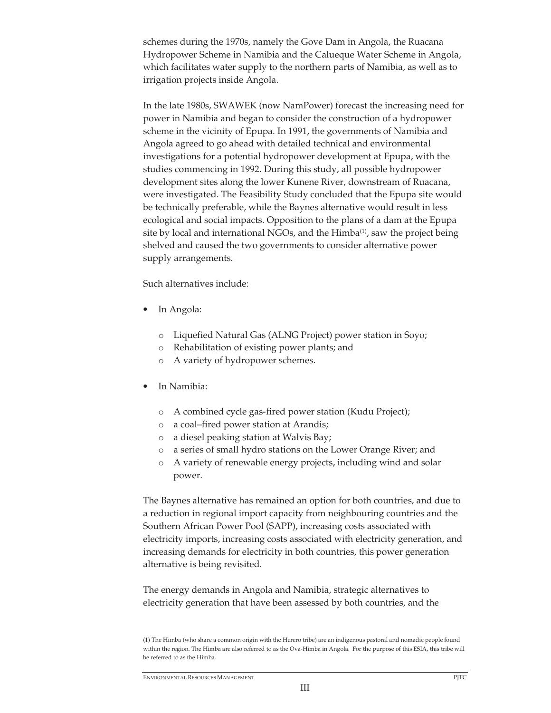schemes during the 1970s, namely the Gove Dam in Angola, the Ruacana Hydropower Scheme in Namibia and the Calueque Water Scheme in Angola, which facilitates water supply to the northern parts of Namibia, as well as to irrigation projects inside Angola.

In the late 1980s, SWAWEK (now NamPower) forecast the increasing need for power in Namibia and began to consider the construction of a hydropower scheme in the vicinity of Epupa. In 1991, the governments of Namibia and Angola agreed to go ahead with detailed technical and environmental investigations for a potential hydropower development at Epupa, with the studies commencing in 1992. During this study, all possible hydropower development sites along the lower Kunene River, downstream of Ruacana, were investigated. The Feasibility Study concluded that the Epupa site would be technically preferable, while the Baynes alternative would result in less ecological and social impacts. Opposition to the plans of a dam at the Epupa site by local and international NGOs, and the Himba<sup>(1)</sup>, saw the project being shelved and caused the two governments to consider alternative power supply arrangements.

Such alternatives include:

- In Angola:
	- o Liquefied Natural Gas (ALNG Project) power station in Soyo;
	- o Rehabilitation of existing power plants; and
	- o A variety of hydropower schemes.
- In Namibia:
	- o A combined cycle gas-fired power station (Kudu Project);
	- o a coal–fired power station at Arandis;
	- o a diesel peaking station at Walvis Bay;
	- o a series of small hydro stations on the Lower Orange River; and
	- A variety of renewable energy projects, including wind and solar power.

The Baynes alternative has remained an option for both countries, and due to a reduction in regional import capacity from neighbouring countries and the Southern African Power Pool (SAPP), increasing costs associated with electricity imports, increasing costs associated with electricity generation, and increasing demands for electricity in both countries, this power generation alternative is being revisited.

The energy demands in Angola and Namibia, strategic alternatives to electricity generation that have been assessed by both countries, and the

<sup>(1)</sup> The Himba (who share a common origin with the Herero tribe) are an indigenous pastoral and nomadic people found within the region. The Himba are also referred to as the Ova-Himba in Angola. For the purpose of this ESIA, this tribe will be referred to as the Himba.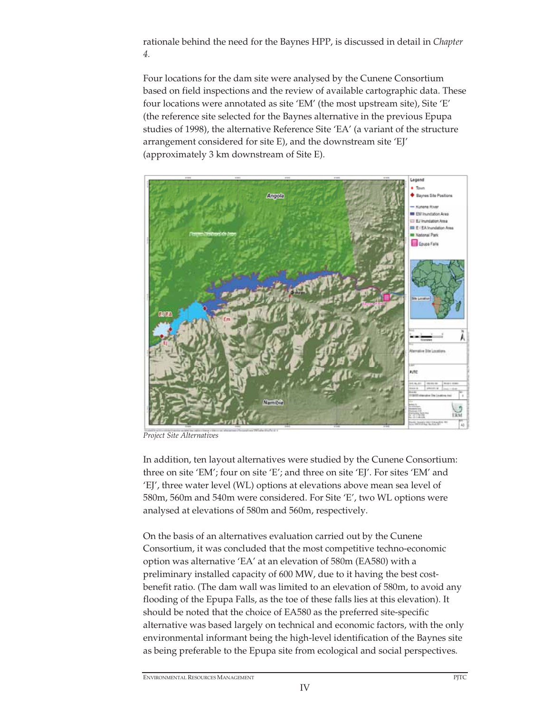rationale behind the need for the Baynes HPP, is discussed in detail in *Chapter 4.*

Four locations for the dam site were analysed by the Cunene Consortium based on field inspections and the review of available cartographic data. These four locations were annotated as site 'EM' (the most upstream site), Site 'E' (the reference site selected for the Baynes alternative in the previous Epupa studies of 1998), the alternative Reference Site 'EA' (a variant of the structure arrangement considered for site E), and the downstream site 'EJ' (approximately 3 km downstream of Site E).



*Project Site Alternatives*

In addition, ten layout alternatives were studied by the Cunene Consortium: three on site 'EM'; four on site 'E'; and three on site 'EJ'. For sites 'EM' and 'EJ', three water level (WL) options at elevations above mean sea level of 580m, 560m and 540m were considered. For Site 'E', two WL options were analysed at elevations of 580m and 560m, respectively.

On the basis of an alternatives evaluation carried out by the Cunene Consortium, it was concluded that the most competitive techno-economic option was alternative 'EA' at an elevation of 580m (EA580) with a preliminary installed capacity of 600 MW, due to it having the best costbenefit ratio. (The dam wall was limited to an elevation of 580m, to avoid any flooding of the Epupa Falls, as the toe of these falls lies at this elevation). It should be noted that the choice of EA580 as the preferred site-specific alternative was based largely on technical and economic factors, with the only environmental informant being the high-level identification of the Baynes site as being preferable to the Epupa site from ecological and social perspectives.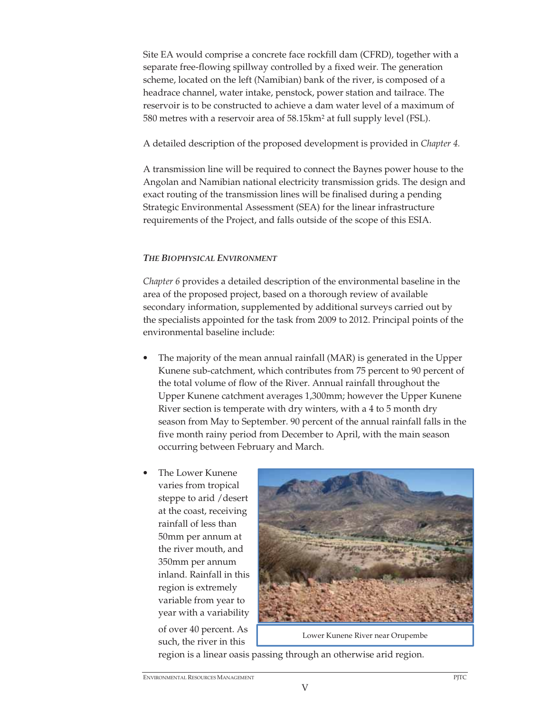Site EA would comprise a concrete face rockfill dam (CFRD), together with a separate free-flowing spillway controlled by a fixed weir. The generation scheme, located on the left (Namibian) bank of the river, is composed of a headrace channel, water intake, penstock, power station and tailrace. The reservoir is to be constructed to achieve a dam water level of a maximum of 580 metres with a reservoir area of 58.15km2 at full supply level (FSL).

A detailed description of the proposed development is provided in *Chapter 4.*

A transmission line will be required to connect the Baynes power house to the Angolan and Namibian national electricity transmission grids. The design and exact routing of the transmission lines will be finalised during a pending Strategic Environmental Assessment (SEA) for the linear infrastructure requirements of the Project, and falls outside of the scope of this ESIA.

## *THE BIOPHYSICAL ENVIRONMENT*

*Chapter 6* provides a detailed description of the environmental baseline in the area of the proposed project, based on a thorough review of available secondary information, supplemented by additional surveys carried out by the specialists appointed for the task from 2009 to 2012. Principal points of the environmental baseline include:

- The majority of the mean annual rainfall (MAR) is generated in the Upper Kunene sub-catchment, which contributes from 75 percent to 90 percent of the total volume of flow of the River. Annual rainfall throughout the Upper Kunene catchment averages 1,300mm; however the Upper Kunene River section is temperate with dry winters, with a 4 to 5 month dry season from May to September. 90 percent of the annual rainfall falls in the five month rainy period from December to April, with the main season occurring between February and March.
- The Lower Kunene varies from tropical steppe to arid /desert at the coast, receiving rainfall of less than 50mm per annum at the river mouth, and 350mm per annum inland. Rainfall in this region is extremely variable from year to year with a variability

of over 40 percent. As such, the river in this



Lower Kunene River near Orupembe

region is a linear oasis passing through an otherwise arid region.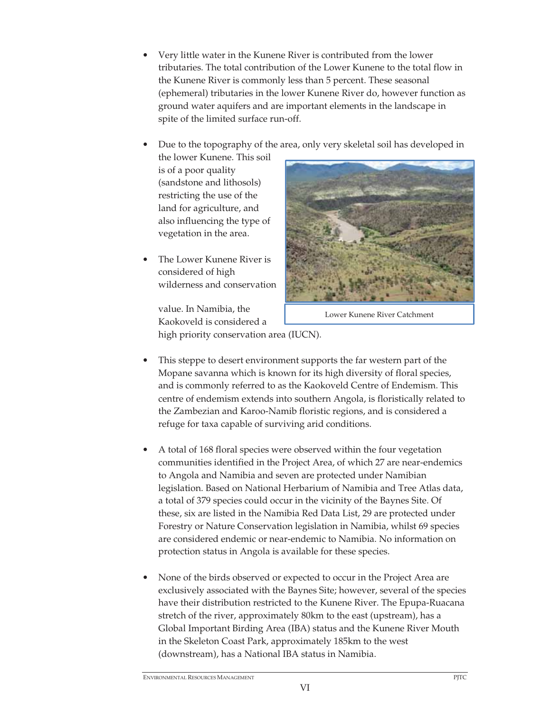- Very little water in the Kunene River is contributed from the lower tributaries. The total contribution of the Lower Kunene to the total flow in the Kunene River is commonly less than 5 percent. These seasonal (ephemeral) tributaries in the lower Kunene River do, however function as ground water aquifers and are important elements in the landscape in spite of the limited surface run-off.
- Due to the topography of the area, only very skeletal soil has developed in

the lower Kunene. This soil is of a poor quality (sandstone and lithosols) restricting the use of the land for agriculture, and also influencing the type of vegetation in the area.

The Lower Kunene River is considered of high wilderness and conservation



Lower Kunene River Catchment

value. In Namibia, the Kaokoveld is considered a high priority conservation area (IUCN).

- This steppe to desert environment supports the far western part of the Mopane savanna which is known for its high diversity of floral species, and is commonly referred to as the Kaokoveld Centre of Endemism. This centre of endemism extends into southern Angola, is floristically related to the Zambezian and Karoo-Namib floristic regions, and is considered a refuge for taxa capable of surviving arid conditions.
- A total of 168 floral species were observed within the four vegetation communities identified in the Project Area, of which 27 are near-endemics to Angola and Namibia and seven are protected under Namibian legislation. Based on National Herbarium of Namibia and Tree Atlas data, a total of 379 species could occur in the vicinity of the Baynes Site. Of these, six are listed in the Namibia Red Data List, 29 are protected under Forestry or Nature Conservation legislation in Namibia, whilst 69 species are considered endemic or near-endemic to Namibia. No information on protection status in Angola is available for these species.
- None of the birds observed or expected to occur in the Project Area are exclusively associated with the Baynes Site; however, several of the species have their distribution restricted to the Kunene River. The Epupa-Ruacana stretch of the river, approximately 80km to the east (upstream), has a Global Important Birding Area (IBA) status and the Kunene River Mouth in the Skeleton Coast Park, approximately 185km to the west (downstream), has a National IBA status in Namibia.

VI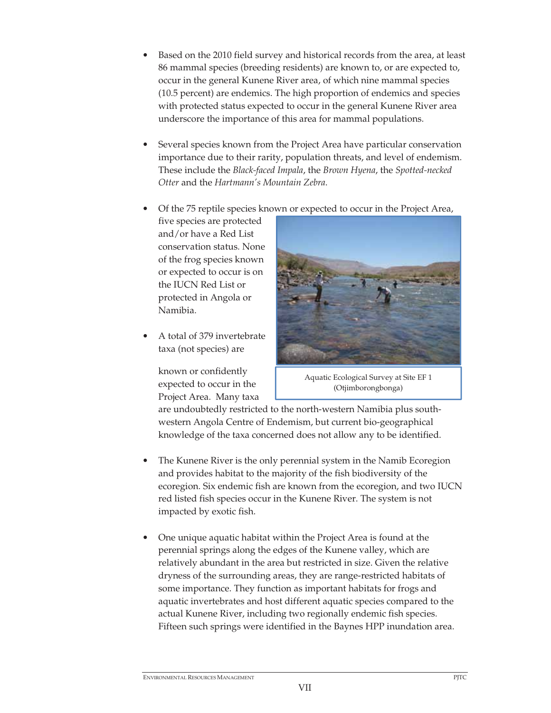- Based on the 2010 field survey and historical records from the area, at least 86 mammal species (breeding residents) are known to, or are expected to, occur in the general Kunene River area, of which nine mammal species (10.5 percent) are endemics. The high proportion of endemics and species with protected status expected to occur in the general Kunene River area underscore the importance of this area for mammal populations.
- Several species known from the Project Area have particular conservation importance due to their rarity, population threats, and level of endemism. These include the *Black-faced Impala*, the *Brown Hyena*, the *Spotted-necked Otter* and the *Hartmann's Mountain Zebra*.
- Of the 75 reptile species known or expected to occur in the Project Area,

five species are protected and/or have a Red List conservation status. None of the frog species known or expected to occur is on the IUCN Red List or protected in Angola or Namibia.

• A total of 379 invertebrate taxa (not species) are

> known or confidently expected to occur in the Project Area. Many taxa



Aquatic Ecological Survey at Site EF 1 (Otjimborongbonga)

are undoubtedly restricted to the north-western Namibia plus southwestern Angola Centre of Endemism, but current bio-geographical knowledge of the taxa concerned does not allow any to be identified.

- The Kunene River is the only perennial system in the Namib Ecoregion and provides habitat to the majority of the fish biodiversity of the ecoregion. Six endemic fish are known from the ecoregion, and two IUCN red listed fish species occur in the Kunene River. The system is not impacted by exotic fish.
- One unique aquatic habitat within the Project Area is found at the perennial springs along the edges of the Kunene valley, which are relatively abundant in the area but restricted in size. Given the relative dryness of the surrounding areas, they are range-restricted habitats of some importance. They function as important habitats for frogs and aquatic invertebrates and host different aquatic species compared to the actual Kunene River, including two regionally endemic fish species. Fifteen such springs were identified in the Baynes HPP inundation area.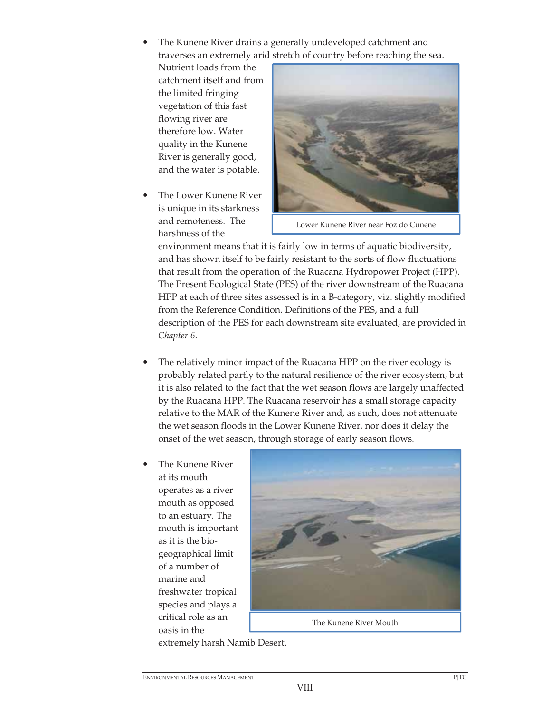• The Kunene River drains a generally undeveloped catchment and traverses an extremely arid stretch of country before reaching the sea.

Nutrient loads from the catchment itself and from the limited fringing vegetation of this fast flowing river are therefore low. Water quality in the Kunene River is generally good, and the water is potable.

• The Lower Kunene River is unique in its starkness and remoteness. The harshness of the



Lower Kunene River near Foz do Cunene

environment means that it is fairly low in terms of aquatic biodiversity, and has shown itself to be fairly resistant to the sorts of flow fluctuations that result from the operation of the Ruacana Hydropower Project (HPP). The Present Ecological State (PES) of the river downstream of the Ruacana HPP at each of three sites assessed is in a B-category, viz. slightly modified from the Reference Condition. Definitions of the PES, and a full description of the PES for each downstream site evaluated, are provided in *Chapter 6*.

- The relatively minor impact of the Ruacana HPP on the river ecology is probably related partly to the natural resilience of the river ecosystem, but it is also related to the fact that the wet season flows are largely unaffected by the Ruacana HPP. The Ruacana reservoir has a small storage capacity relative to the MAR of the Kunene River and, as such, does not attenuate the wet season floods in the Lower Kunene River, nor does it delay the onset of the wet season, through storage of early season flows.
- The Kunene River at its mouth operates as a river mouth as opposed to an estuary. The mouth is important as it is the biogeographical limit of a number of marine and freshwater tropical species and plays a critical role as an oasis in the



extremely harsh Namib Desert.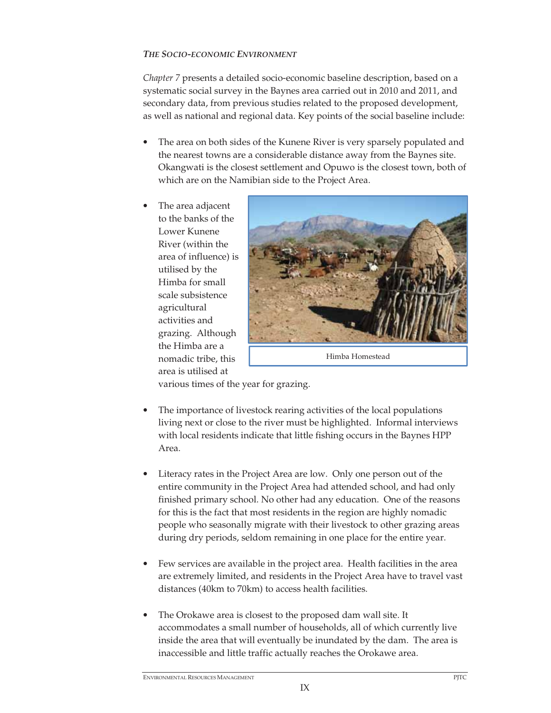# *THE SOCIO-ECONOMIC ENVIRONMENT*

*Chapter 7* presents a detailed socio-economic baseline description, based on a systematic social survey in the Baynes area carried out in 2010 and 2011, and secondary data, from previous studies related to the proposed development, as well as national and regional data. Key points of the social baseline include:

- The area on both sides of the Kunene River is very sparsely populated and the nearest towns are a considerable distance away from the Baynes site. Okangwati is the closest settlement and Opuwo is the closest town, both of which are on the Namibian side to the Project Area.
- The area adjacent to the banks of the Lower Kunene River (within the area of influence) is utilised by the Himba for small scale subsistence agricultural activities and grazing. Although the Himba are a nomadic tribe, this area is utilised at



Himba Homestead

various times of the year for grazing.

- The importance of livestock rearing activities of the local populations living next or close to the river must be highlighted. Informal interviews with local residents indicate that little fishing occurs in the Baynes HPP Area.
- Literacy rates in the Project Area are low. Only one person out of the entire community in the Project Area had attended school, and had only finished primary school. No other had any education. One of the reasons for this is the fact that most residents in the region are highly nomadic people who seasonally migrate with their livestock to other grazing areas during dry periods, seldom remaining in one place for the entire year.
- Few services are available in the project area. Health facilities in the area are extremely limited, and residents in the Project Area have to travel vast distances (40km to 70km) to access health facilities.
- The Orokawe area is closest to the proposed dam wall site. It accommodates a small number of households, all of which currently live inside the area that will eventually be inundated by the dam. The area is inaccessible and little traffic actually reaches the Orokawe area.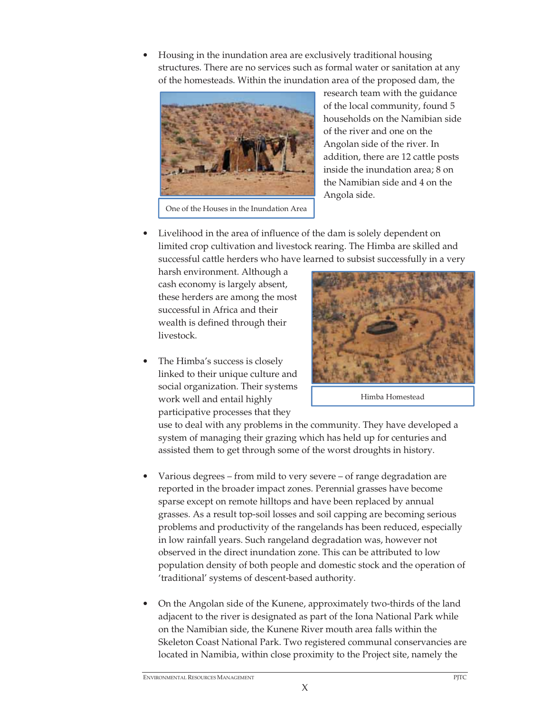• Housing in the inundation area are exclusively traditional housing structures. There are no services such as formal water or sanitation at any of the homesteads. Within the inundation area of the proposed dam, the



research team with the guidance of the local community, found 5 households on the Namibian side of the river and one on the Angolan side of the river. In addition, there are 12 cattle posts inside the inundation area; 8 on the Namibian side and 4 on the Angola side.

• Livelihood in the area of influence of the dam is solely dependent on limited crop cultivation and livestock rearing. The Himba are skilled and successful cattle herders who have learned to subsist successfully in a very

harsh environment. Although a cash economy is largely absent, these herders are among the most successful in Africa and their wealth is defined through their livestock.

The Himba's success is closely linked to their unique culture and social organization. Their systems work well and entail highly participative processes that they



Himba Homestead

use to deal with any problems in the community. They have developed a system of managing their grazing which has held up for centuries and assisted them to get through some of the worst droughts in history.

- Various degrees from mild to very severe of range degradation are reported in the broader impact zones. Perennial grasses have become sparse except on remote hilltops and have been replaced by annual grasses. As a result top-soil losses and soil capping are becoming serious problems and productivity of the rangelands has been reduced, especially in low rainfall years. Such rangeland degradation was, however not observed in the direct inundation zone. This can be attributed to low population density of both people and domestic stock and the operation of 'traditional' systems of descent-based authority.
- On the Angolan side of the Kunene, approximately two-thirds of the land adjacent to the river is designated as part of the Iona National Park while on the Namibian side, the Kunene River mouth area falls within the Skeleton Coast National Park. Two registered communal conservancies are located in Namibia, within close proximity to the Project site, namely the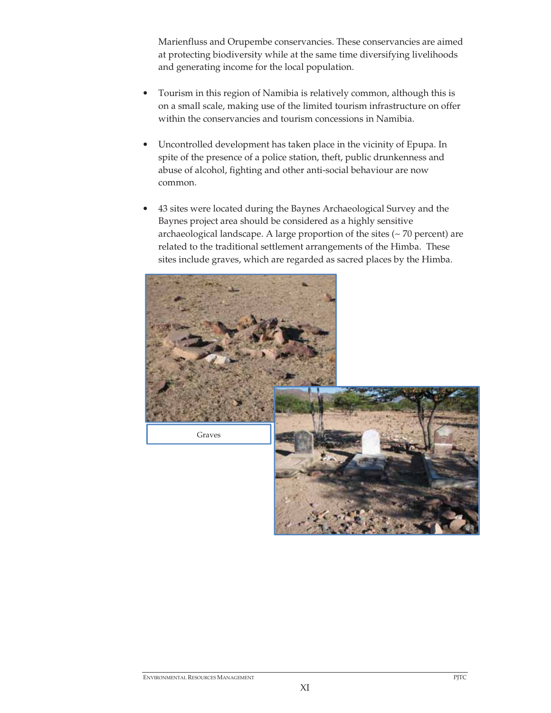Marienfluss and Orupembe conservancies. These conservancies are aimed at protecting biodiversity while at the same time diversifying livelihoods and generating income for the local population.

- Tourism in this region of Namibia is relatively common, although this is on a small scale, making use of the limited tourism infrastructure on offer within the conservancies and tourism concessions in Namibia.
- Uncontrolled development has taken place in the vicinity of Epupa. In spite of the presence of a police station, theft, public drunkenness and abuse of alcohol, fighting and other anti-social behaviour are now common.
- 43 sites were located during the Baynes Archaeological Survey and the Baynes project area should be considered as a highly sensitive archaeological landscape. A large proportion of the sites  $($   $\sim$  70 percent) are related to the traditional settlement arrangements of the Himba. These sites include graves, which are regarded as sacred places by the Himba.

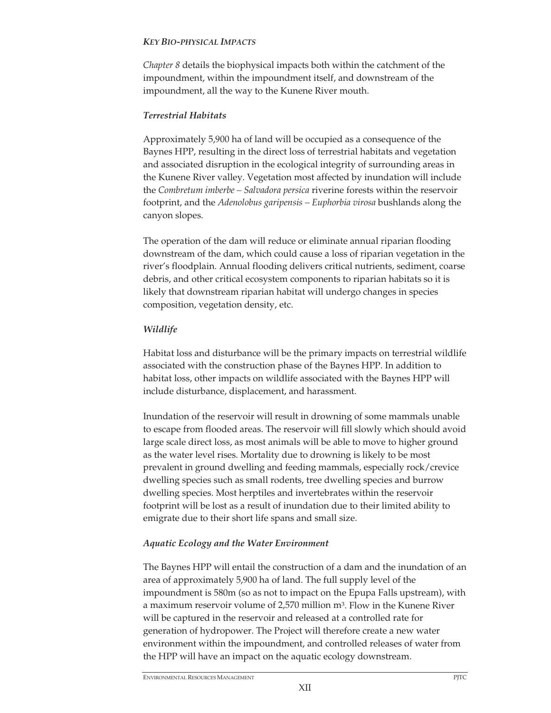### *KEY BIO-PHYSICAL IMPACTS*

*Chapter 8* details the biophysical impacts both within the catchment of the impoundment, within the impoundment itself, and downstream of the impoundment, all the way to the Kunene River mouth.

## *Terrestrial Habitats*

Approximately 5,900 ha of land will be occupied as a consequence of the Baynes HPP, resulting in the direct loss of terrestrial habitats and vegetation and associated disruption in the ecological integrity of surrounding areas in the Kunene River valley. Vegetation most affected by inundation will include the *Combretum imberbe – Salvadora persica* riverine forests within the reservoir footprint, and the *Adenolobus garipensis – Euphorbia virosa* bushlands along the canyon slopes.

The operation of the dam will reduce or eliminate annual riparian flooding downstream of the dam, which could cause a loss of riparian vegetation in the river's floodplain. Annual flooding delivers critical nutrients, sediment, coarse debris, and other critical ecosystem components to riparian habitats so it is likely that downstream riparian habitat will undergo changes in species composition, vegetation density, etc.

## *Wildlife*

Habitat loss and disturbance will be the primary impacts on terrestrial wildlife associated with the construction phase of the Baynes HPP. In addition to habitat loss, other impacts on wildlife associated with the Baynes HPP will include disturbance, displacement, and harassment.

Inundation of the reservoir will result in drowning of some mammals unable to escape from flooded areas. The reservoir will fill slowly which should avoid large scale direct loss, as most animals will be able to move to higher ground as the water level rises. Mortality due to drowning is likely to be most prevalent in ground dwelling and feeding mammals, especially rock/crevice dwelling species such as small rodents, tree dwelling species and burrow dwelling species. Most herptiles and invertebrates within the reservoir footprint will be lost as a result of inundation due to their limited ability to emigrate due to their short life spans and small size.

# *Aquatic Ecology and the Water Environment*

The Baynes HPP will entail the construction of a dam and the inundation of an area of approximately 5,900 ha of land. The full supply level of the impoundment is 580m (so as not to impact on the Epupa Falls upstream), with a maximum reservoir volume of 2,570 million m3. Flow in the Kunene River will be captured in the reservoir and released at a controlled rate for generation of hydropower. The Project will therefore create a new water environment within the impoundment, and controlled releases of water from the HPP will have an impact on the aquatic ecology downstream.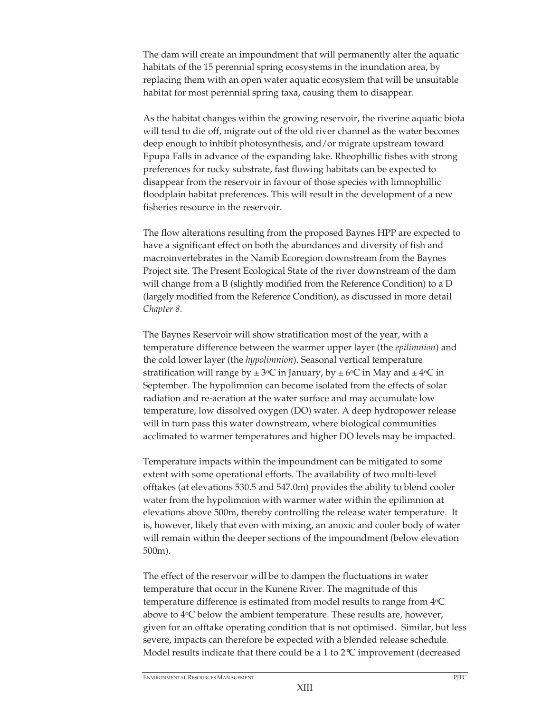The dam will create an impoundment that will permanently alter the aquatic habitats of the 15 perennial spring ecosystems in the inundation area, by replacing them with an open water aquatic ecosystem that will be unsuitable habitat for most perennial spring taxa, causing them to disappear.

As the habitat changes within the growing reservoir, the riverine aquatic biota will tend to die off, migrate out of the old river channel as the water becomes deep enough to inhibit photosynthesis, and/or migrate upstream toward Epupa Falls in advance of the expanding lake. Rheophillic fishes with strong preferences for rocky substrate, fast flowing habitats can be expected to disappear from the reservoir in favour of those species with limnophillic floodplain habitat preferences. This will result in the development of a new fisheries resource in the reservoir.

The flow alterations resulting from the proposed Baynes HPP are expected to have a significant effect on both the abundances and diversity of fish and macroinvertebrates in the Namib Ecoregion downstream from the Baynes Project site. The Present Ecological State of the river downstream of the dam will change from a B (slightly modified from the Reference Condition) to a D (largely modified from the Reference Condition), as discussed in more detail *Chapter 8*.

The Baynes Reservoir will show stratification most of the year, with a temperature difference between the warmer upper layer (the *epilimnion*) and the cold lower layer (the *hypolimnion*). Seasonal vertical temperature stratification will range by  $\pm 3$ °C in January, by  $\pm 6$ °C in May and  $\pm 4$ °C in September. The hypolimnion can become isolated from the effects of solar radiation and re-aeration at the water surface and may accumulate low temperature, low dissolved oxygen (DO) water. A deep hydropower release will in turn pass this water downstream, where biological communities acclimated to warmer temperatures and higher DO levels may be impacted.

Temperature impacts within the impoundment can be mitigated to some extent with some operational efforts. The availability of two multi-level offtakes (at elevations 530.5 and 547.0m) provides the ability to blend cooler water from the hypolimnion with warmer water within the epilimnion at elevations above 500m, thereby controlling the release water temperature. It is, however, likely that even with mixing, an anoxic and cooler body of water will remain within the deeper sections of the impoundment (below elevation 500m).

The effect of the reservoir will be to dampen the fluctuations in water temperature that occur in the Kunene River. The magnitude of this temperature difference is estimated from model results to range from 4oC above to  $4\textdegree$ C below the ambient temperature. These results are, however, given for an offtake operating condition that is not optimised. Similar, but less severe, impacts can therefore be expected with a blended release schedule. Model results indicate that there could be a 1 to  $2^{\circ}C$  improvement (decreased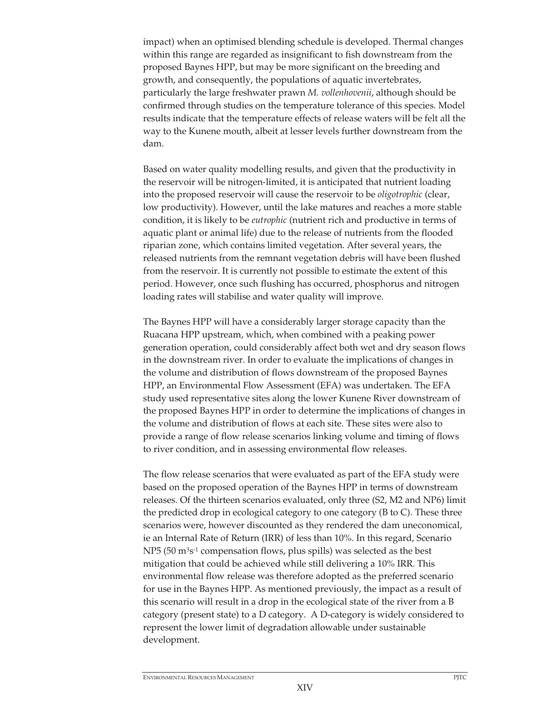impact) when an optimised blending schedule is developed. Thermal changes within this range are regarded as insignificant to fish downstream from the proposed Baynes HPP, but may be more significant on the breeding and growth, and consequently, the populations of aquatic invertebrates, particularly the large freshwater prawn *M. vollenhovenii*, although should be confirmed through studies on the temperature tolerance of this species. Model results indicate that the temperature effects of release waters will be felt all the way to the Kunene mouth, albeit at lesser levels further downstream from the dam.

Based on water quality modelling results, and given that the productivity in the reservoir will be nitrogen-limited, it is anticipated that nutrient loading into the proposed reservoir will cause the reservoir to be *oligotrophic* (clear, low productivity). However, until the lake matures and reaches a more stable condition, it is likely to be *eutrophic* (nutrient rich and productive in terms of aquatic plant or animal life) due to the release of nutrients from the flooded riparian zone, which contains limited vegetation. After several years, the released nutrients from the remnant vegetation debris will have been flushed from the reservoir. It is currently not possible to estimate the extent of this period. However, once such flushing has occurred, phosphorus and nitrogen loading rates will stabilise and water quality will improve.

The Baynes HPP will have a considerably larger storage capacity than the Ruacana HPP upstream, which, when combined with a peaking power generation operation, could considerably affect both wet and dry season flows in the downstream river. In order to evaluate the implications of changes in the volume and distribution of flows downstream of the proposed Baynes HPP, an Environmental Flow Assessment (EFA) was undertaken. The EFA study used representative sites along the lower Kunene River downstream of the proposed Baynes HPP in order to determine the implications of changes in the volume and distribution of flows at each site. These sites were also to provide a range of flow release scenarios linking volume and timing of flows to river condition, and in assessing environmental flow releases.

The flow release scenarios that were evaluated as part of the EFA study were based on the proposed operation of the Baynes HPP in terms of downstream releases. Of the thirteen scenarios evaluated, only three (S2, M2 and NP6) limit the predicted drop in ecological category to one category (B to C). These three scenarios were, however discounted as they rendered the dam uneconomical, ie an Internal Rate of Return (IRR) of less than 10%. In this regard, Scenario NP5 (50 m3s-1 compensation flows, plus spills) was selected as the best mitigation that could be achieved while still delivering a 10% IRR. This environmental flow release was therefore adopted as the preferred scenario for use in the Baynes HPP. As mentioned previously, the impact as a result of this scenario will result in a drop in the ecological state of the river from a B category (present state) to a D category. A D-category is widely considered to represent the lower limit of degradation allowable under sustainable development.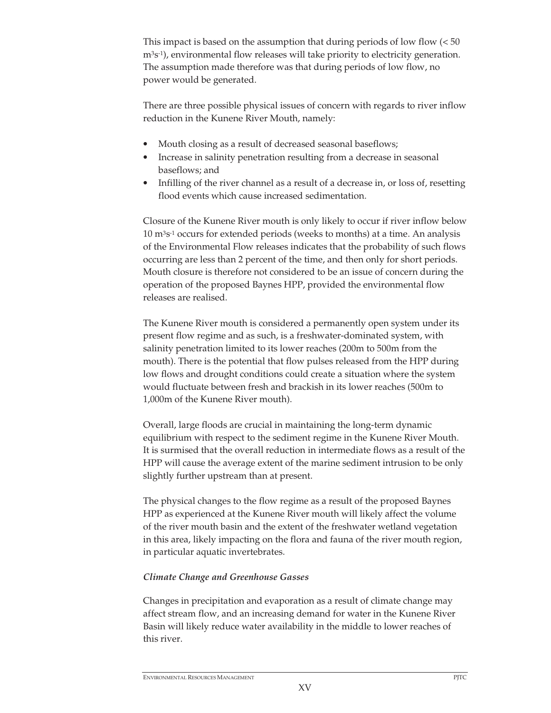This impact is based on the assumption that during periods of low flow  $\left( < 50 \right)$  $m<sup>3</sup>s<sup>-1</sup>$ ), environmental flow releases will take priority to electricity generation. The assumption made therefore was that during periods of low flow, no power would be generated.

There are three possible physical issues of concern with regards to river inflow reduction in the Kunene River Mouth, namely:

- Mouth closing as a result of decreased seasonal baseflows;
- Increase in salinity penetration resulting from a decrease in seasonal baseflows; and
- Infilling of the river channel as a result of a decrease in, or loss of, resetting flood events which cause increased sedimentation.

Closure of the Kunene River mouth is only likely to occur if river inflow below 10 m3s-1 occurs for extended periods (weeks to months) at a time. An analysis of the Environmental Flow releases indicates that the probability of such flows occurring are less than 2 percent of the time, and then only for short periods. Mouth closure is therefore not considered to be an issue of concern during the operation of the proposed Baynes HPP, provided the environmental flow releases are realised.

The Kunene River mouth is considered a permanently open system under its present flow regime and as such, is a freshwater-dominated system, with salinity penetration limited to its lower reaches (200m to 500m from the mouth). There is the potential that flow pulses released from the HPP during low flows and drought conditions could create a situation where the system would fluctuate between fresh and brackish in its lower reaches (500m to 1,000m of the Kunene River mouth).

Overall, large floods are crucial in maintaining the long-term dynamic equilibrium with respect to the sediment regime in the Kunene River Mouth. It is surmised that the overall reduction in intermediate flows as a result of the HPP will cause the average extent of the marine sediment intrusion to be only slightly further upstream than at present.

The physical changes to the flow regime as a result of the proposed Baynes HPP as experienced at the Kunene River mouth will likely affect the volume of the river mouth basin and the extent of the freshwater wetland vegetation in this area, likely impacting on the flora and fauna of the river mouth region, in particular aquatic invertebrates.

# *Climate Change and Greenhouse Gasses*

Changes in precipitation and evaporation as a result of climate change may affect stream flow, and an increasing demand for water in the Kunene River Basin will likely reduce water availability in the middle to lower reaches of this river.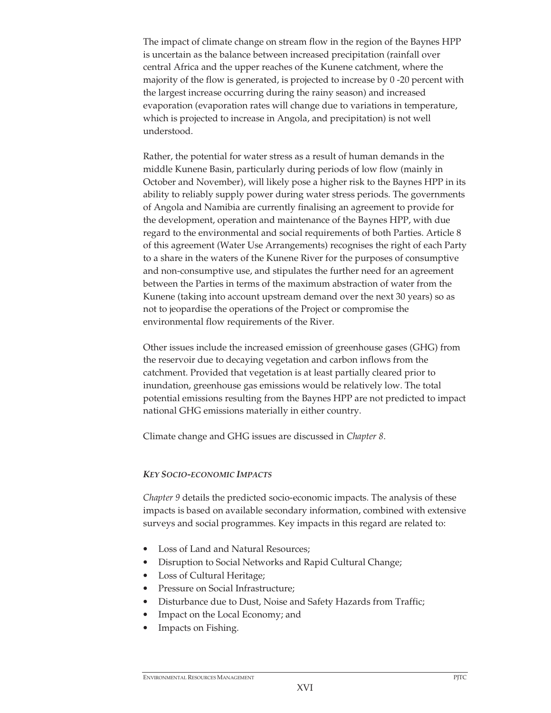The impact of climate change on stream flow in the region of the Baynes HPP is uncertain as the balance between increased precipitation (rainfall over central Africa and the upper reaches of the Kunene catchment, where the majority of the flow is generated, is projected to increase by 0 -20 percent with the largest increase occurring during the rainy season) and increased evaporation (evaporation rates will change due to variations in temperature, which is projected to increase in Angola, and precipitation) is not well understood.

Rather, the potential for water stress as a result of human demands in the middle Kunene Basin, particularly during periods of low flow (mainly in October and November), will likely pose a higher risk to the Baynes HPP in its ability to reliably supply power during water stress periods. The governments of Angola and Namibia are currently finalising an agreement to provide for the development, operation and maintenance of the Baynes HPP, with due regard to the environmental and social requirements of both Parties. Article 8 of this agreement (Water Use Arrangements) recognises the right of each Party to a share in the waters of the Kunene River for the purposes of consumptive and non-consumptive use, and stipulates the further need for an agreement between the Parties in terms of the maximum abstraction of water from the Kunene (taking into account upstream demand over the next 30 years) so as not to jeopardise the operations of the Project or compromise the environmental flow requirements of the River.

Other issues include the increased emission of greenhouse gases (GHG) from the reservoir due to decaying vegetation and carbon inflows from the catchment. Provided that vegetation is at least partially cleared prior to inundation, greenhouse gas emissions would be relatively low. The total potential emissions resulting from the Baynes HPP are not predicted to impact national GHG emissions materially in either country.

Climate change and GHG issues are discussed in *Chapter 8*.

#### *KEY SOCIO-ECONOMIC IMPACTS*

*Chapter 9* details the predicted socio-economic impacts. The analysis of these impacts is based on available secondary information, combined with extensive surveys and social programmes. Key impacts in this regard are related to:

- Loss of Land and Natural Resources;
- Disruption to Social Networks and Rapid Cultural Change;
- Loss of Cultural Heritage;
- Pressure on Social Infrastructure;
- Disturbance due to Dust, Noise and Safety Hazards from Traffic;
- Impact on the Local Economy; and
- Impacts on Fishing.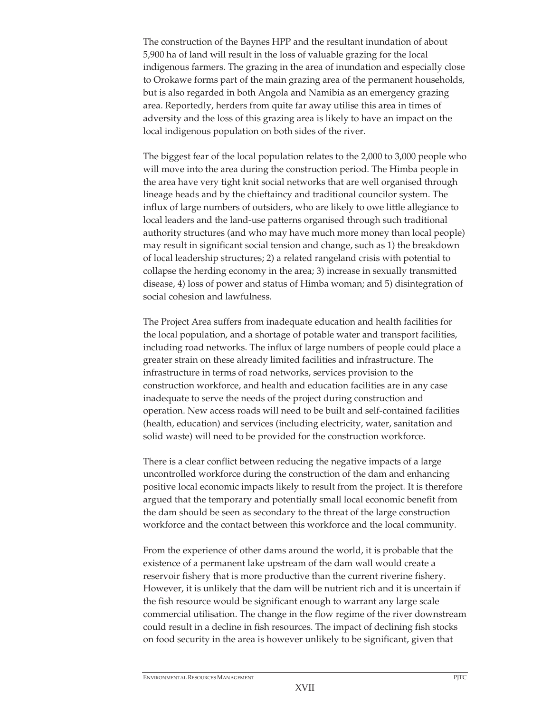The construction of the Baynes HPP and the resultant inundation of about 5,900 ha of land will result in the loss of valuable grazing for the local indigenous farmers. The grazing in the area of inundation and especially close to Orokawe forms part of the main grazing area of the permanent households, but is also regarded in both Angola and Namibia as an emergency grazing area. Reportedly, herders from quite far away utilise this area in times of adversity and the loss of this grazing area is likely to have an impact on the local indigenous population on both sides of the river.

The biggest fear of the local population relates to the 2,000 to 3,000 people who will move into the area during the construction period. The Himba people in the area have very tight knit social networks that are well organised through lineage heads and by the chieftaincy and traditional councilor system. The influx of large numbers of outsiders, who are likely to owe little allegiance to local leaders and the land-use patterns organised through such traditional authority structures (and who may have much more money than local people) may result in significant social tension and change, such as 1) the breakdown of local leadership structures; 2) a related rangeland crisis with potential to collapse the herding economy in the area; 3) increase in sexually transmitted disease, 4) loss of power and status of Himba woman; and 5) disintegration of social cohesion and lawfulness.

The Project Area suffers from inadequate education and health facilities for the local population, and a shortage of potable water and transport facilities, including road networks. The influx of large numbers of people could place a greater strain on these already limited facilities and infrastructure. The infrastructure in terms of road networks, services provision to the construction workforce, and health and education facilities are in any case inadequate to serve the needs of the project during construction and operation. New access roads will need to be built and self-contained facilities (health, education) and services (including electricity, water, sanitation and solid waste) will need to be provided for the construction workforce.

There is a clear conflict between reducing the negative impacts of a large uncontrolled workforce during the construction of the dam and enhancing positive local economic impacts likely to result from the project. It is therefore argued that the temporary and potentially small local economic benefit from the dam should be seen as secondary to the threat of the large construction workforce and the contact between this workforce and the local community.

From the experience of other dams around the world, it is probable that the existence of a permanent lake upstream of the dam wall would create a reservoir fishery that is more productive than the current riverine fishery. However, it is unlikely that the dam will be nutrient rich and it is uncertain if the fish resource would be significant enough to warrant any large scale commercial utilisation. The change in the flow regime of the river downstream could result in a decline in fish resources. The impact of declining fish stocks on food security in the area is however unlikely to be significant, given that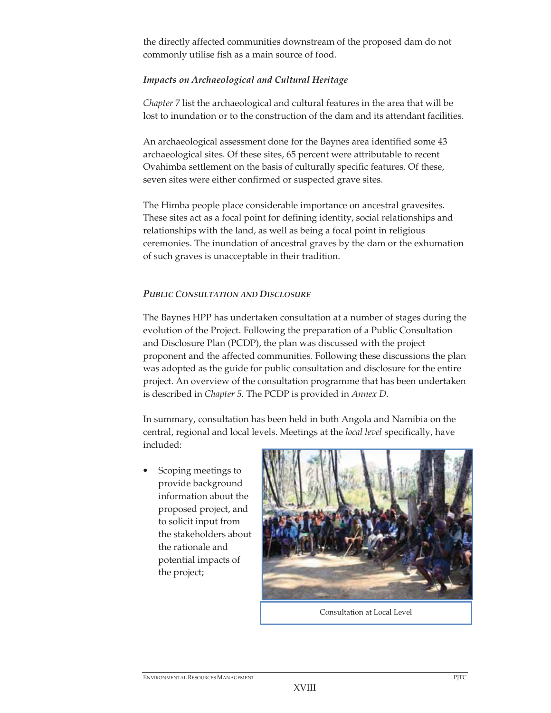the directly affected communities downstream of the proposed dam do not commonly utilise fish as a main source of food.

## *Impacts on Archaeological and Cultural Heritage*

*Chapter* 7 list the archaeological and cultural features in the area that will be lost to inundation or to the construction of the dam and its attendant facilities.

An archaeological assessment done for the Baynes area identified some 43 archaeological sites. Of these sites, 65 percent were attributable to recent Ovahimba settlement on the basis of culturally specific features. Of these, seven sites were either confirmed or suspected grave sites.

The Himba people place considerable importance on ancestral gravesites. These sites act as a focal point for defining identity, social relationships and relationships with the land, as well as being a focal point in religious ceremonies. The inundation of ancestral graves by the dam or the exhumation of such graves is unacceptable in their tradition.

## *PUBLIC CONSULTATION AND DISCLOSURE*

The Baynes HPP has undertaken consultation at a number of stages during the evolution of the Project. Following the preparation of a Public Consultation and Disclosure Plan (PCDP), the plan was discussed with the project proponent and the affected communities. Following these discussions the plan was adopted as the guide for public consultation and disclosure for the entire project. An overview of the consultation programme that has been undertaken is described in *Chapter 5.* The PCDP is provided in *Annex D*.

In summary, consultation has been held in both Angola and Namibia on the central, regional and local levels. Meetings at the *local level* specifically, have included:

• Scoping meetings to provide background information about the proposed project, and to solicit input from the stakeholders about the rationale and potential impacts of the project;



Consultation at Local Level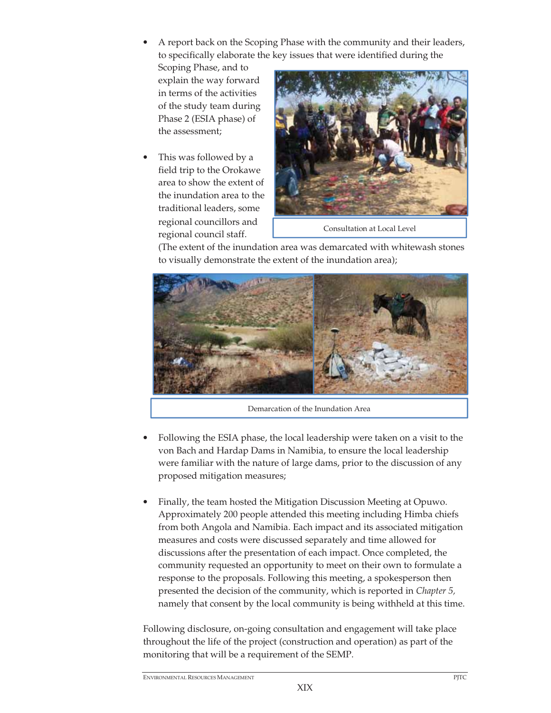• A report back on the Scoping Phase with the community and their leaders, to specifically elaborate the key issues that were identified during the

Scoping Phase, and to explain the way forward in terms of the activities of the study team during Phase 2 (ESIA phase) of the assessment;

• This was followed by a field trip to the Orokawe area to show the extent of the inundation area to the traditional leaders, some regional councillors and regional council staff.



Consultation at Local Level

(The extent of the inundation area was demarcated with whitewash stones to visually demonstrate the extent of the inundation area);



Demarcation of the Inundation Area

- Following the ESIA phase, the local leadership were taken on a visit to the von Bach and Hardap Dams in Namibia, to ensure the local leadership were familiar with the nature of large dams, prior to the discussion of any proposed mitigation measures;
- Finally, the team hosted the Mitigation Discussion Meeting at Opuwo. Approximately 200 people attended this meeting including Himba chiefs from both Angola and Namibia. Each impact and its associated mitigation measures and costs were discussed separately and time allowed for discussions after the presentation of each impact. Once completed, the community requested an opportunity to meet on their own to formulate a response to the proposals. Following this meeting, a spokesperson then presented the decision of the community, which is reported in *Chapter 5,*  namely that consent by the local community is being withheld at this time.

Following disclosure, on-going consultation and engagement will take place throughout the life of the project (construction and operation) as part of the monitoring that will be a requirement of the SEMP.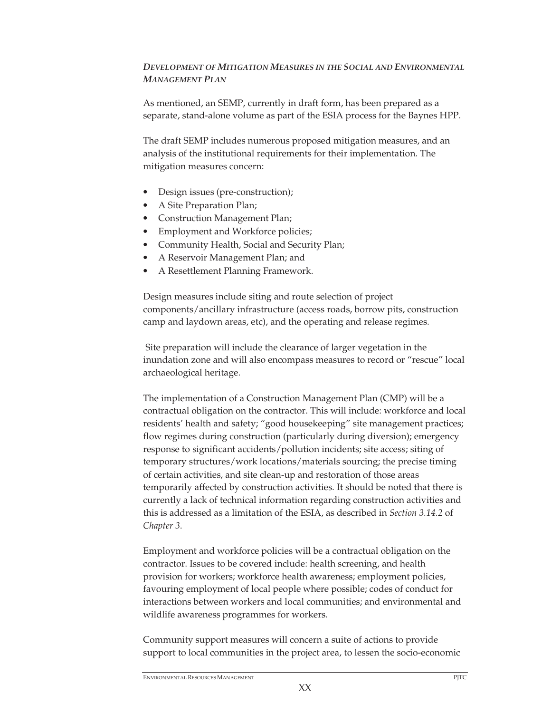# *DEVELOPMENT OF MITIGATION MEASURES IN THE SOCIAL AND ENVIRONMENTAL MANAGEMENT PLAN*

As mentioned, an SEMP, currently in draft form, has been prepared as a separate, stand-alone volume as part of the ESIA process for the Baynes HPP.

The draft SEMP includes numerous proposed mitigation measures, and an analysis of the institutional requirements for their implementation. The mitigation measures concern:

- Design issues (pre-construction);
- A Site Preparation Plan;
- Construction Management Plan;
- Employment and Workforce policies;
- Community Health, Social and Security Plan;
- A Reservoir Management Plan; and
- A Resettlement Planning Framework.

Design measures include siting and route selection of project components/ancillary infrastructure (access roads, borrow pits, construction camp and laydown areas, etc), and the operating and release regimes.

 Site preparation will include the clearance of larger vegetation in the inundation zone and will also encompass measures to record or "rescue" local archaeological heritage.

The implementation of a Construction Management Plan (CMP) will be a contractual obligation on the contractor. This will include: workforce and local residents' health and safety; "good housekeeping" site management practices; flow regimes during construction (particularly during diversion); emergency response to significant accidents/pollution incidents; site access; siting of temporary structures/work locations/materials sourcing; the precise timing of certain activities, and site clean-up and restoration of those areas temporarily affected by construction activities. It should be noted that there is currently a lack of technical information regarding construction activities and this is addressed as a limitation of the ESIA, as described in *Section 3.14.2* of *Chapter 3*.

Employment and workforce policies will be a contractual obligation on the contractor. Issues to be covered include: health screening, and health provision for workers; workforce health awareness; employment policies, favouring employment of local people where possible; codes of conduct for interactions between workers and local communities; and environmental and wildlife awareness programmes for workers.

Community support measures will concern a suite of actions to provide support to local communities in the project area, to lessen the socio-economic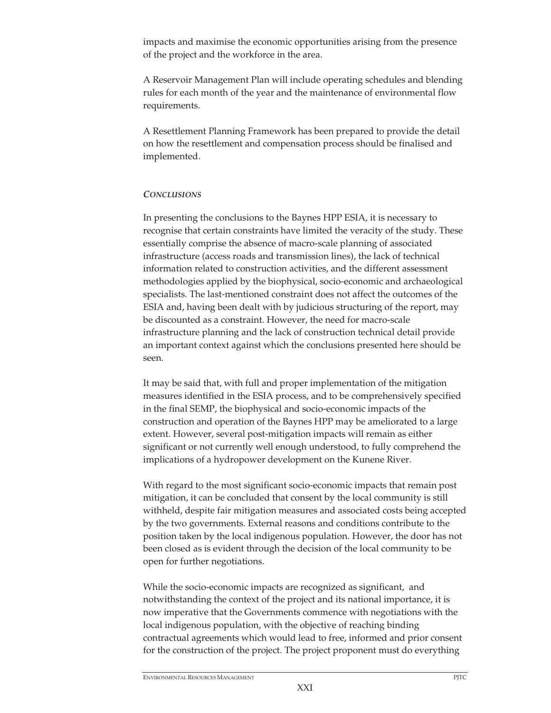impacts and maximise the economic opportunities arising from the presence of the project and the workforce in the area.

A Reservoir Management Plan will include operating schedules and blending rules for each month of the year and the maintenance of environmental flow requirements.

A Resettlement Planning Framework has been prepared to provide the detail on how the resettlement and compensation process should be finalised and implemented.

#### *CONCLUSIONS*

In presenting the conclusions to the Baynes HPP ESIA, it is necessary to recognise that certain constraints have limited the veracity of the study. These essentially comprise the absence of macro-scale planning of associated infrastructure (access roads and transmission lines), the lack of technical information related to construction activities, and the different assessment methodologies applied by the biophysical, socio-economic and archaeological specialists. The last-mentioned constraint does not affect the outcomes of the ESIA and, having been dealt with by judicious structuring of the report, may be discounted as a constraint. However, the need for macro-scale infrastructure planning and the lack of construction technical detail provide an important context against which the conclusions presented here should be seen.

It may be said that, with full and proper implementation of the mitigation measures identified in the ESIA process, and to be comprehensively specified in the final SEMP, the biophysical and socio-economic impacts of the construction and operation of the Baynes HPP may be ameliorated to a large extent. However, several post-mitigation impacts will remain as either significant or not currently well enough understood, to fully comprehend the implications of a hydropower development on the Kunene River.

With regard to the most significant socio-economic impacts that remain post mitigation, it can be concluded that consent by the local community is still withheld, despite fair mitigation measures and associated costs being accepted by the two governments. External reasons and conditions contribute to the position taken by the local indigenous population. However, the door has not been closed as is evident through the decision of the local community to be open for further negotiations.

While the socio-economic impacts are recognized as significant, and notwithstanding the context of the project and its national importance, it is now imperative that the Governments commence with negotiations with the local indigenous population, with the objective of reaching binding contractual agreements which would lead to free, informed and prior consent for the construction of the project. The project proponent must do everything